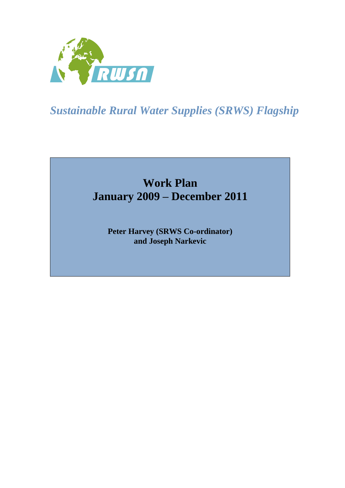

*Sustainable Rural Water Supplies (SRWS) Flagship*

# **Work Plan January 2009 – December 2011**

**Peter Harvey (SRWS Co-ordinator) and Joseph Narkevic**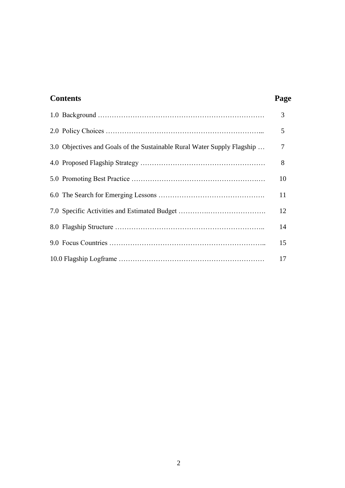| <b>Contents</b>                                                         | Page |
|-------------------------------------------------------------------------|------|
|                                                                         | 3    |
|                                                                         | 5    |
| 3.0 Objectives and Goals of the Sustainable Rural Water Supply Flagship | 7    |
|                                                                         | 8    |
|                                                                         | 10   |
|                                                                         | 11   |
|                                                                         | 12   |
|                                                                         | 14   |
|                                                                         | 15   |
|                                                                         | 17   |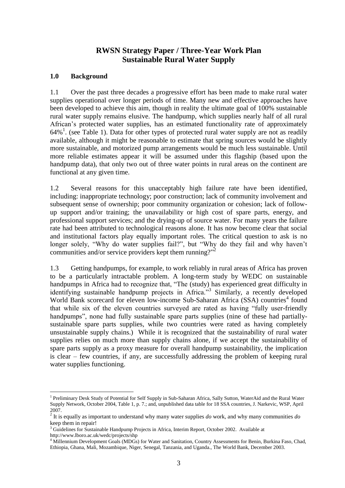# **RWSN Strategy Paper / Three-Year Work Plan Sustainable Rural Water Supply**

#### **1.0 Background**

1.1 Over the past three decades a progressive effort has been made to make rural water supplies operational over longer periods of time. Many new and effective approaches have been developed to achieve this aim, though in reality the ultimate goal of 100% sustainable rural water supply remains elusive. The handpump, which supplies nearly half of all rural African's protected water supplies, has an estimated functionality rate of approximately 64%<sup>1</sup>. (see Table 1). Data for other types of protected rural water supply are not as readily available, although it might be reasonable to estimate that spring sources would be slightly more sustainable, and motorized pump arrangements would be much less sustainable. Until more reliable estimates appear it will be assumed under this flagship (based upon the handpump data), that only two out of three water points in rural areas on the continent are functional at any given time.

1.2 Several reasons for this unacceptably high failure rate have been identified, including: inappropriate technology; poor construction; lack of community involvement and subsequent sense of ownership; poor community organization or cohesion; lack of followup support and/or training; the unavailability or high cost of spare parts, energy, and professional support services; and the drying-up of source water. For many years the failure rate had been attributed to technological reasons alone. It has now become clear that social and institutional factors play equally important roles. The critical question to ask is no longer solely, "Why do water supplies fail?", but "Why do they fail and why haven't communities and/or service providers kept them running?"<sup>2</sup>

1.3 Getting handpumps, for example, to work reliably in rural areas of Africa has proven to be a particularly intractable problem. A long-term study by WEDC on sustainable handpumps in Africa had to recognize that, "The (study) has experienced great difficulty in identifying sustainable handpump projects in Africa."<sup>3</sup> Similarly, a recently developed World Bank scorecard for eleven low-income Sub-Saharan Africa (SSA) countries<sup>4</sup> found that while six of the eleven countries surveyed are rated as having "fully user-friendly handpumps", none had fully sustainable spare parts supplies (nine of these had partiallysustainable spare parts supplies, while two countries were rated as having completely unsustainable supply chains.) While it is recognized that the sustainability of rural water supplies relies on much more than supply chains alone, if we accept the sustainability of spare parts supply as a proxy measure for overall handpump sustainability, the implication is clear – few countries, if any, are successfully addressing the problem of keeping rural water supplies functioning.

 $\overline{a}$ 

<sup>&</sup>lt;sup>1</sup> Preliminary Desk Study of Potential for Self Supply in Sub-Saharan Africa, Sally Sutton, WaterAid and the Rural Water Supply Network, October 2004, Table 1, p. 7.; and, unpublished data table for 18 SSA countries, J. Narkevic, WSP, April 2007.

<sup>2</sup> It is equally as important to understand why many water supplies *do* work, and why many communities *do* keep them in repair!

<sup>&</sup>lt;sup>3</sup> Guidelines for Sustainable Handpump Projects in Africa, Interim Report, October 2002. Available at

http://www.lboro.ac.uk/wedc/projects/shp

<sup>4</sup> Millennium Development Goals (MDGs) for Water and Sanitation, Country Assessments for Benin, Burkina Faso, Chad, Ethiopia, Ghana, Mali, Mozambique, Niger, Senegal, Tanzania, and Uganda., The World Bank, December 2003.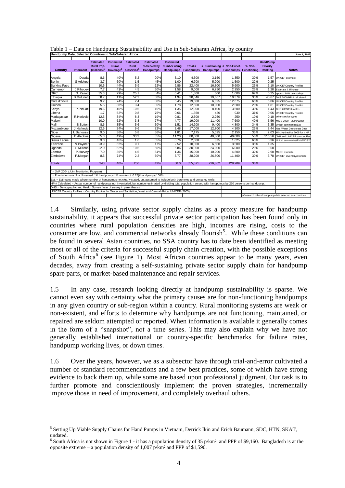| Handpump Data, Selected Countries in Sub-Saharan Africa                                                                                                            |                  |                   |                       |                       |                                                                                    |                     |           | <u>s and the company subminatively and see in suc-summan chilea,</u> |                              |        |                 | June 1, 2007                                            |
|--------------------------------------------------------------------------------------------------------------------------------------------------------------------|------------------|-------------------|-----------------------|-----------------------|------------------------------------------------------------------------------------|---------------------|-----------|----------------------------------------------------------------------|------------------------------|--------|-----------------|---------------------------------------------------------|
|                                                                                                                                                                    |                  |                   |                       |                       |                                                                                    |                     |           |                                                                      |                              |        |                 |                                                         |
|                                                                                                                                                                    |                  | <b>Estimated</b>  | <b>Estimated</b>      | <b>Estimated</b>      | <b>Estimated</b>                                                                   | <b>Estimated</b>    |           |                                                                      |                              |        | <b>HandPump</b> |                                                         |
|                                                                                                                                                                    |                  | <b>Rural Pop.</b> | Rural                 | Rural                 | % Served by                                                                        | <b>Number using</b> | Total #   | # Functioning # Non-Funct.                                           |                              | % Non- | <b>Priority</b> |                                                         |
| Country                                                                                                                                                            | <b>Informant</b> | $(millions)^1$    | Coverage <sup>1</sup> | Unserved <sup>1</sup> | <b>Handpumps</b>                                                                   | Handpumps           | Handpumps | <b>Handpumps</b>                                                     | <b>Handpumps Functioning</b> |        | Ranking         | <b>Notes</b>                                            |
|                                                                                                                                                                    |                  |                   |                       |                       |                                                                                    |                     |           |                                                                      |                              |        |                 |                                                         |
| Angola                                                                                                                                                             | Dauda            | 8.6               | 40%                   | 5.2                   | 90%                                                                                | 3.10                | 4,500     | 3,150                                                                | 1,350                        | 30%    | 1.57            | UNICEF estimate                                         |
| Benin                                                                                                                                                              | S Adokpo         | 3.7               | 60%                   | 1.5                   | 45%                                                                                | 1.00                | 6,700     | 5,200                                                                | 1,500                        | 22%    | 0.25            |                                                         |
| <b>Burkina Faso</b>                                                                                                                                                |                  | 10.5              | 44%                   | 5.9                   | 62%                                                                                | 2.86                | 22,400    | 16,800                                                               | 5,600                        | 25%    | 5.10            | <b>UNICEFCountry Profiles</b>                           |
| Cameroon                                                                                                                                                           | J.Rihouey        | 7.7               | 41%                   | 4.5                   | 50%                                                                                | 1.58                | 9,000     | 6,750                                                                | 2,250                        | 25%    | 1.28            | Estimate J. Rihouey                                     |
| <b>DRC</b>                                                                                                                                                         | G. Kazad         | 35.3              | 29%                   | 25.1                  | 4%                                                                                 | 0.41                | 1,500     | 500                                                                  | 1,000                        | 67%    | 0.25            | approx. 60% use springs                                 |
| Ethiopia                                                                                                                                                           | <b>B.Muluneh</b> | 58.7              | 11%                   | 52.2                  | 30%                                                                                | 1.94                | 30,046    | 19,667                                                               | 10,379                       | 35%    | 40.67           | DHS 2000/HP # calculated                                |
| Cote d'Ivoire                                                                                                                                                      |                  | 9.2               | 74%                   | 2.4                   | 80%                                                                                | 5.45                | 19,500    | 6,825                                                                | 12,675                       | 65%    | 6.06            | <b>UNICEFCountry Profiles</b>                           |
| Guinea                                                                                                                                                             |                  | 5.5               | 38%                   | 3.4                   | 85%                                                                                | 1.78                | 12,500    | 10,000                                                               | 2,500                        | 20%    | 1.81            | <b>UNICEFCountry Profiles</b>                           |
| Kenya                                                                                                                                                              | P. Nduati        | 19.6              | 46%                   | 10.6                  | 15%                                                                                | 1.35                | 12,000    | 8,400                                                                | 3,600                        | 30%    | 1.43            | DHS 2003/Estimates                                      |
| Liberia                                                                                                                                                            |                  | 1.7               | 52%                   | 0.8                   | 75%                                                                                | 0.66                | 1,350     | 420                                                                  | 930                          | 31%    | 0.06            | <b>UNICEFCountry Profiles</b>                           |
| Madagascar                                                                                                                                                         | R.Herivelo       | 12.5              | 34%                   | 8.3                   | 19%                                                                                | 0.81                | 2,500     | 2,250                                                                | 250                          | 10%    | 0.10            | other service types                                     |
| Malawi                                                                                                                                                             |                  | 10.0              | 62%                   | 3.8                   | 77%                                                                                | 4.77                | 19,000    | 11,400                                                               | 7,600                        | 40%    | 5.56            | MICS 2000 + 2006/WHO                                    |
| Mali                                                                                                                                                               | S.Sutton         | 8.6               | 35%                   | 5.6                   | 50%                                                                                | 1.51                | 14,200    | 9,400                                                                | 4,800                        | 34%    | 3.35            | Unicef summaries/Est.                                   |
| Mozambique                                                                                                                                                         | J.Narkevic       | 12.6              | 24%                   | 9.6                   | 82%                                                                                | 2.48                | 17,000    | 12,700                                                               | 4,300                        | 25%    | 8.44            | Nat. Water Directorate Data                             |
| Niger                                                                                                                                                              | I. Sanoussi      | 9.0               | 36%                   | 5.8                   | 56%                                                                                | 1.81                | 7,175     | 5,025                                                                | 2,150                        | 35%    | 2.03            | Min. Hydraulics 2005 for # HP                           |
| Nigeria                                                                                                                                                            | <b>B.Aleobua</b> | 65.3              | 49%                   | 33.3                  | 35%                                                                                | 11.20               | 80,000    | 40,000                                                               | 40,000                       | 50%    | 116.56          | JMP and UNICEF sources/Est                              |
| Sierra Leone                                                                                                                                                       |                  | 3.0               | 46%                   | 1.6                   | 55%                                                                                | 0.76                | 2,500     | 875                                                                  | 1,625                        | 65%    | 0.36            | Unicef summaries/Est./MICS2                             |
| Tanzania                                                                                                                                                           | N.Paynter        | 23.9              | 62%                   | 9.1                   | 17%                                                                                | 2.52                | 10.000    | 6,500                                                                | 3,500                        | 35%    | 1.35            |                                                         |
| Uganda                                                                                                                                                             | S.Mutono         | 22.0              | 52%                   | 10.6                  | 60%                                                                                | 6.86                | 30,000    | 24,000                                                               | 6,000                        | 20%    | 9.50            |                                                         |
| Zambia                                                                                                                                                             | P.Harvey         | 7.0               | 36%                   | 4.5                   | 54%                                                                                | 1.36                | 15,000    | 10,200                                                               | 4,800                        | 32%    | 2.90            | MLGH estimate                                           |
| Zimbabwe                                                                                                                                                           | P.Morgan         | 8.5               | 74%                   | 2.2                   | 60%                                                                                | 3.77                | 38,200    | 26,800                                                               | 11,400                       | 30%    | 3.78            | UNICEF inventory/estimate                               |
|                                                                                                                                                                    |                  |                   |                       |                       |                                                                                    |                     |           |                                                                      |                              |        |                 |                                                         |
| <b>Totals</b>                                                                                                                                                      |                  | 343               | 40%                   | 206                   | 42%                                                                                | 58.0                | 355,071   | 226,862                                                              | 128,209                      | 36%    |                 |                                                         |
| = JMP 2004 (Joint Monitoring Program)                                                                                                                              |                  |                   |                       |                       |                                                                                    |                     |           |                                                                      |                              |        |                 |                                                         |
|                                                                                                                                                                    |                  |                   |                       |                       | = Priority formula: Rur.Unserved * % handpumps* % non-funct.*0.25(#handpumps/1000) |                     |           |                                                                      |                              |        |                 |                                                         |
| Est. = Estimates made where number of handpumps not clearly stated, but assumed to include both boreholes and protected wells.                                     |                  |                   |                       |                       |                                                                                    |                     |           |                                                                      |                              |        |                 |                                                         |
| HP # Calculated = Actual number of handpumps not inventoried, but number estimated by dividing total population served with handpumps by 250 persons per handpump. |                  |                   |                       |                       |                                                                                    |                     |           |                                                                      |                              |        |                 |                                                         |
| DHS = Demographic and Health Survey (year of survey in parenthesis)                                                                                                |                  |                   |                       |                       |                                                                                    |                     |           |                                                                      |                              |        |                 |                                                         |
| UNICEF Country Profiles = Country Profiles for Water and Sanitation, West and Central Africa, UNICEF (2005)                                                        |                  |                   |                       |                       |                                                                                    |                     |           |                                                                      |                              |        |                 |                                                         |
|                                                                                                                                                                    |                  |                   |                       |                       |                                                                                    |                     |           |                                                                      |                              |        |                 | in/research others/handpump data selected ssa countries |

Table 1 – Data on Handpump Sustainability and Use in Sub-Saharan Africa, by country

1.4 Similarly, using private sector supply chains as a proxy measure for handpump sustainability, it appears that successful private sector participation has been found only in countries where rural population densities are high, incomes are rising, costs to the consumer are low, and commercial networks already flourish<sup>5</sup>. While these conditions can be found in several Asian countries, no SSA country has to date been identified as meeting most or all of the criteria for successful supply chain creation, with the possible exceptions of South Africa<sup>6</sup> (see Figure 1). Most African countries appear to be many years, even decades, away from creating a self-sustaining private sector supply chain for handpump spare parts, or market-based maintenance and repair services.

1.5 In any case, research looking directly at handpump sustainability is sparse. We cannot even say with certainty what the primary causes are for non-functioning handpumps in any given country or sub-region within a country. Rural monitoring systems are weak or non-existent, and efforts to determine why handpumps are not functioning, maintained, or repaired are seldom attempted or reported. When information is available it generally comes in the form of a "snapshot", not a time series. This may also explain why we have not generally established international or country-specific benchmarks for failure rates, handpump working lives, or down times.

1.6 Over the years, however, we as a subsector have through trial-and-error cultivated a number of standard recommendations and a few best practices, some of which have strong evidence to back them up, while some are based upon professional judgment. Our task is to further promote and conscientiously implement the proven strategies, incrementally improve those in need of improvement, and completely overhaul others.

 $\overline{a}$ 

<sup>&</sup>lt;sup>5</sup> Setting Up Viable Supply Chains for Hand Pumps in Vietnam, Derrick Ikin and Erich Baumann, SDC, HTN, SKAT, undated.

<sup>&</sup>lt;sup>6</sup> South Africa is not shown in Figure 1 - it has a population density of 35  $p/km^2$  and PPP of \$9,160. Bangladesh is at the opposite extreme – a population density of  $1,007$  p/km² and PPP of \$1,590.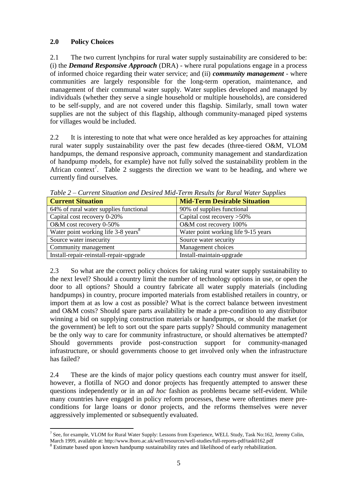## **2.0 Policy Choices**

2.1 The two current lynchpins for rural water supply sustainability are considered to be: (i) the *Demand Responsive Approach* (DRA) - where rural populations engage in a process of informed choice regarding their water service; and (ii) *community management* - where communities are largely responsible for the long-term operation, maintenance, and management of their communal water supply. Water supplies developed and managed by individuals (whether they serve a single household or multiple households), are considered to be self-supply, and are not covered under this flagship. Similarly, small town water supplies are not the subject of this flagship, although community-managed piped systems for villages would be included.

2.2 It is interesting to note that what were once heralded as key approaches for attaining rural water supply sustainability over the past few decades (three-tiered O&M, VLOM handpumps, the demand responsive approach, community management and standardization of handpump models, for example) have not fully solved the sustainability problem in the African context<sup>7</sup>. Table 2 suggests the direction we want to be heading, and where we currently find ourselves.

| <b>Current Situation</b>                        | <b>Mid-Term Desirable Situation</b> |
|-------------------------------------------------|-------------------------------------|
| 64% of rural water supplies functional          | 90% of supplies functional          |
| Capital cost recovery 0-20%                     | Capital cost recovery $>50\%$       |
| O&M cost recovery 0-50%                         | O&M cost recovery 100%              |
| Water point working life 3-8 years <sup>8</sup> | Water point working life 9-15 years |
| Source water insecurity                         | Source water security               |
| Community management                            | Management choices                  |
| Install-repair-reinstall-repair-upgrade         | Install-maintain-upgrade            |

*Table 2 – Current Situation and Desired Mid-Term Results for Rural Water Supplies*

2.3 So what are the correct policy choices for taking rural water supply sustainability to the next level? Should a country limit the number of technology options in use, or open the door to all options? Should a country fabricate all water supply materials (including handpumps) in country, procure imported materials from established retailers in country, or import them at as low a cost as possible? What is the correct balance between investment and O&M costs? Should spare parts availability be made a pre-condition to any distributor winning a bid on supplying construction materials or handpumps, or should the market (or the government) be left to sort out the spare parts supply? Should community management be the only way to care for community infrastructure, or should alternatives be attempted? Should governments provide post-construction support for community-managed infrastructure, or should governments choose to get involved only when the infrastructure has failed?

2.4 These are the kinds of major policy questions each country must answer for itself, however, a flotilla of NGO and donor projects has frequently attempted to answer these questions independently or in an *ad hoc* fashion as problems became self-evident. While many countries have engaged in policy reform processes, these were oftentimes mere preconditions for large loans or donor projects, and the reforms themselves were never aggressively implemented or subsequently evaluated.

 $\overline{a}$ <sup>7</sup> See, for example, VLOM for Rural Water Supply: Lessons from Experience, WELL Study, Task No:162, Jeremy Colin,

March 1999, available at: http://www.lboro.ac.uk/well/resources/well-studies/full-reports-pdf/task0162.pdf

<sup>&</sup>lt;sup>8</sup> Estimate based upon known handpump sustainability rates and likelihood of early rehabilitation.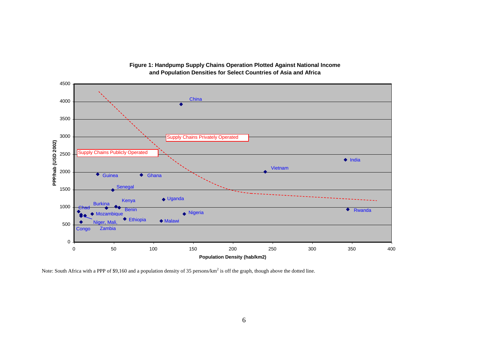

#### **Figure 1: Handpump Supply Chains Operation Plotted Against National Income and Population Densities for Select Countries of Asia and Africa**

Note: South Africa with a PPP of \$9,160 and a population density of 35 persons/ $km^2$  is off the graph, though above the dotted line.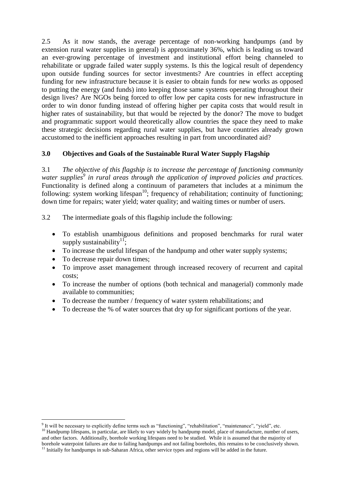2.5 As it now stands, the average percentage of non-working handpumps (and by extension rural water supplies in general) is approximately 36%, which is leading us toward an ever-growing percentage of investment and institutional effort being channeled to rehabilitate or upgrade failed water supply systems. Is this the logical result of dependency upon outside funding sources for sector investments? Are countries in effect accepting funding for new infrastructure because it is easier to obtain funds for new works as opposed to putting the energy (and funds) into keeping those same systems operating throughout their design lives? Are NGOs being forced to offer low per capita costs for new infrastructure in order to win donor funding instead of offering higher per capita costs that would result in higher rates of sustainability, but that would be rejected by the donor? The move to budget and programmatic support would theoretically allow countries the space they need to make these strategic decisions regarding rural water supplies, but have countries already grown accustomed to the inefficient approaches resulting in part from uncoordinated aid?

## **3.0 Objectives and Goals of the Sustainable Rural Water Supply Flagship**

3.1 *The objective of this flagship is to increase the percentage of functioning community water supplies<sup>9</sup> in rural areas through the application of improved policies and practices.* Functionality is defined along a continuum of parameters that includes at a minimum the following: system working lifespan<sup>10</sup>; frequency of rehabilitation; continuity of functioning; down time for repairs; water yield; water quality; and waiting times or number of users.

3.2 The intermediate goals of this flagship include the following:

- To establish unambiguous definitions and proposed benchmarks for rural water supply sustainability<sup>11</sup>;
- To increase the useful lifespan of the handpump and other water supply systems;
- To decrease repair down times;
- To improve asset management through increased recovery of recurrent and capital costs;
- To increase the number of options (both technical and managerial) commonly made available to communities;
- To decrease the number / frequency of water system rehabilitations; and
- To decrease the % of water sources that dry up for significant portions of the year.

<sup>1</sup> <sup>9</sup> It will be necessary to explicitly define terms such as "functioning", "rehabilitation", "maintenance", "yield", etc.

<sup>&</sup>lt;sup>10</sup> Handpump lifespans, in particular, are likely to vary widely by handpump model, place of manufacture, number of users, and other factors. Additionally, borehole working lifespans need to be studied. While it is assumed that the majority of borehole waterpoint failures are due to failing handpumps and not failing boreholes, this remains to be conclusively shown. <sup>11</sup> Initially for handpumps in sub-Saharan Africa, other service types and regions will be added in the future.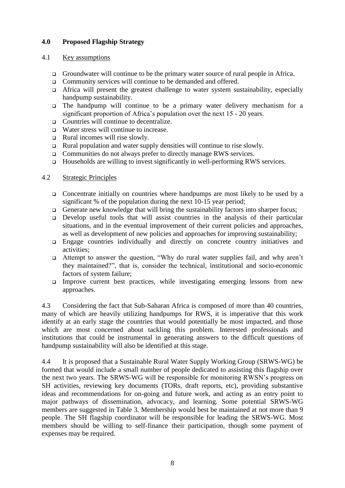## **4.0 Proposed Flagship Strategy**

#### 4.1 Key assumptions

- Groundwater will continue to be the primary water source of rural people in Africa.
- Community services will continue to be demanded and offered.
- $\Box$  Africa will present the greatest challenge to water system sustainability, especially handpump sustainability.
- $\Box$  The handpump will continue to be a primary water delivery mechanism for a significant proportion of Africa's population over the next 15 - 20 years.
- □ Countries will continue to decentralize.
- □ Water stress will continue to increase.
- $\Box$  Rural incomes will rise slowly.
- $\Box$  Rural population and water supply densities will continue to rise slowly.
- □ Communities do not always prefer to directly manage RWS services.
- $\Box$  Households are willing to invest significantly in well-performing RWS services.

#### 4.2 Strategic Principles

- Concentrate initially on countries where handpumps are most likely to be used by a significant % of the population during the next 10-15 year period;
- Generate new knowledge that will bring the sustainability factors into sharper focus;
- Develop useful tools that will assist countries in the analysis of their particular situations, and in the eventual improvement of their current policies and approaches, as well as development of new policies and approaches for improving sustainability;
- Engage countries individually and directly on concrete country initiatives and activities;
- Attempt to answer the question, "Why do rural water supplies fail, and why aren't they maintained?", that is, consider the technical, institutional and socio-economic factors of system failure;
- Improve current best practices, while investigating emerging lessons from new approaches.

4.3 Considering the fact that Sub-Saharan Africa is composed of more than 40 countries, many of which are heavily utilizing handpumps for RWS, it is imperative that this work identify at an early stage the countries that would potentially be most impacted, and those which are most concerned about tackling this problem. Interested professionals and institutions that could be instrumental in generating answers to the difficult questions of handpump sustainability will also be identified at this stage.

4.4 It is proposed that a Sustainable Rural Water Supply Working Group (SRWS-WG) be formed that would include a small number of people dedicated to assisting this flagship over the next two years. The SRWS-WG will be responsible for monitoring RWSN's progress on SH activities, reviewing key documents (TORs, draft reports, etc), providing substantive ideas and recommendations for on-going and future work, and acting as an entry point to major pathways of dissemination, advocacy, and learning. Some potential SRWS-WG members are suggested in Table 3. Membership would best be maintained at not more than 9 people. The SH flagship coordinator will be responsible for leading the SRWS-WG. Most members should be willing to self-finance their participation, though some payment of expenses may be required.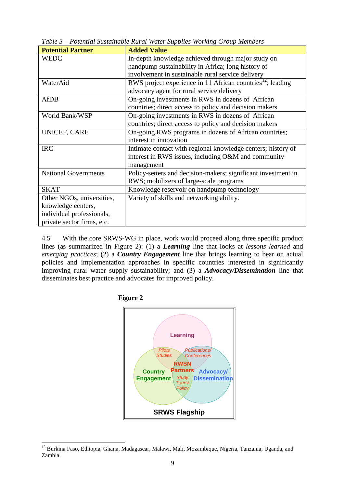| <b>Potential Partner</b>    | <b>Added Value</b>                                                     |
|-----------------------------|------------------------------------------------------------------------|
| <b>WEDC</b>                 | In-depth knowledge achieved through major study on                     |
|                             | handpump sustainability in Africa; long history of                     |
|                             | involvement in sustainable rural service delivery                      |
| WaterAid                    | RWS project experience in 11 African countries <sup>12</sup> ; leading |
|                             | advocacy agent for rural service delivery                              |
| <b>AfDB</b>                 | On-going investments in RWS in dozens of African                       |
|                             | countries; direct access to policy and decision makers                 |
| World Bank/WSP              | On-going investments in RWS in dozens of African                       |
|                             | countries; direct access to policy and decision makers                 |
| UNICEF, CARE                | On-going RWS programs in dozens of African countries;                  |
|                             | interest in innovation                                                 |
| <b>IRC</b>                  | Intimate contact with regional knowledge centers; history of           |
|                             | interest in RWS issues, including O&M and community                    |
|                             | management                                                             |
| <b>National Governments</b> | Policy-setters and decision-makers; significant investment in          |
|                             | RWS; mobilizers of large-scale programs                                |
| <b>SKAT</b>                 | Knowledge reservoir on handpump technology                             |
| Other NGOs, universities,   | Variety of skills and networking ability.                              |
| knowledge centers,          |                                                                        |
| individual professionals,   |                                                                        |
| private sector firms, etc.  |                                                                        |

*Table 3 – Potential Sustainable Rural Water Supplies Working Group Members*

4.5 With the core SRWS-WG in place, work would proceed along three specific product lines (as summarized in Figure 2): (1) a *Learning* line that looks at *lessons learned* and *emerging practices*; (2) a *Country Engagement* line that brings learning to bear on actual policies and implementation approaches in specific countries interested in significantly improving rural water supply sustainability; and (3) a *Advocacy/Dissemination* line that disseminates best practice and advocates for improved policy.





<sup>&</sup>lt;u>.</u> <sup>12</sup> Burkina Faso, Ethiopia, Ghana, Madagascar, Malawi, Mali, Mozambique, Nigeria, Tanzania, Uganda, and Zambia.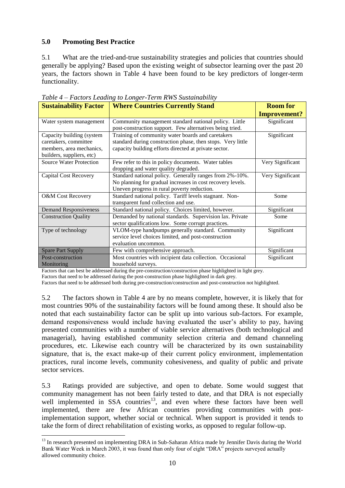## **5.0 Promoting Best Practice**

5.1 What are the tried-and-true sustainability strategies and policies that countries should generally be applying? Based upon the existing weight of subsector learning over the past 20 years, the factors shown in Table 4 have been found to be key predictors of longer-term functionality.

| <b>Sustainability Factor</b>                                                                                | <b>Where Countries Currently Stand</b>                                                                                                                                    | <b>Room for</b>     |
|-------------------------------------------------------------------------------------------------------------|---------------------------------------------------------------------------------------------------------------------------------------------------------------------------|---------------------|
|                                                                                                             |                                                                                                                                                                           | <b>Improvement?</b> |
| Water system management                                                                                     | Community management standard national policy. Little<br>post-construction support. Few alternatives being tried.                                                         | Significant         |
| Capacity building (system<br>caretakers, committee<br>members, area mechanics,<br>builders, suppliers, etc) | Training of community water boards and caretakers<br>standard during construction phase, then stops. Very little<br>capacity building efforts directed at private sector. | Significant         |
| <b>Source Water Protection</b>                                                                              | Few refer to this in policy documents. Water tables<br>dropping and water quality degraded.                                                                               | Very Significant    |
| <b>Capital Cost Recovery</b>                                                                                | Standard national policy. Generally ranges from 2%-10%.<br>No planning for gradual increases in cost recovery levels.<br>Uneven progress in rural poverty reduction.      | Very Significant    |
| <b>O&amp;M</b> Cost Recovery                                                                                | Standard national policy. Tariff levels stagnant. Non-<br>transparent fund collection and use.                                                                            | Some                |
| <b>Demand Responsiveness</b>                                                                                | Standard national policy. Choices limited, however.                                                                                                                       | Significant         |
| <b>Construction Quality</b>                                                                                 | Demanded by national standards. Supervision lax. Private<br>sector qualifications low. Some corrupt practices.                                                            | Some                |
| Type of technology                                                                                          | VLOM-type handpumps generally standard. Community<br>service level choices limited, and post-construction<br>evaluation uncommon.                                         | Significant         |
| <b>Spare Part Supply</b>                                                                                    | Few with comprehensive approach.                                                                                                                                          | Significant         |
| Post-construction<br>Monitoring                                                                             | Most countries with incipient data collection. Occasional<br>household surveys.                                                                                           | Significant         |

*Table 4 – Factors Leading to Longer-Term RWS Sustainability*

Factors that can best be addressed during the pre-construction/construction phase highlighted in light grey.

Factors that need to be addressed during the post-construction phase highlighted in dark grey.

Factors that need to be addressed both during pre-construction/construction and post-construction not highlighted.

5.2 The factors shown in Table 4 are by no means complete, however, it is likely that for most countries 90% of the sustainability factors will be found among these. It should also be noted that each sustainability factor can be split up into various sub-factors. For example, demand responsiveness would include having evaluated the user's ability to pay, having presented communities with a number of viable service alternatives (both technological and managerial), having established community selection criteria and demand channeling procedures, etc. Likewise each country will be characterized by its own sustainability signature, that is, the exact make-up of their current policy environment, implementation practices, rural income levels, community cohesiveness, and quality of public and private sector services.

5.3 Ratings provided are subjective, and open to debate. Some would suggest that community management has not been fairly tested to date, and that DRA is not especially well implemented in SSA countries<sup>13</sup>, and even where these factors have been well implemented, there are few African countries providing communities with postimplementation support, whether social or technical. When support is provided it tends to take the form of direct rehabilitation of existing works, as opposed to regular follow-up.

<sup>&</sup>lt;u>.</u> <sup>13</sup> In research presented on implementing DRA in Sub-Saharan Africa made by Jennifer Davis during the World Bank Water Week in March 2003, it was found than only four of eight "DRA" projects surveyed actually allowed community choice.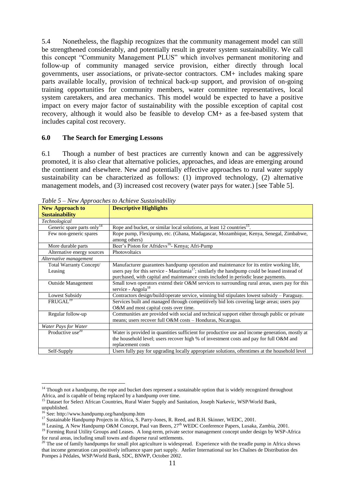5.4 Nonetheless, the flagship recognizes that the community management model can still be strengthened considerably, and potentially result in greater system sustainability. We call this concept "Community Management PLUS" which involves permanent monitoring and follow-up of community managed service provision, either directly through local governments, user associations, or private-sector contractors. CM+ includes making spare parts available locally, provision of technical back-up support, and provision of on-going training opportunities for community members, water committee representatives, local system caretakers, and area mechanics. This model would be expected to have a positive impact on every major factor of sustainability with the possible exception of capital cost recovery, although it would also be feasible to develop CM+ as a fee-based system that includes capital cost recovery.

#### **6.0 The Search for Emerging Lessons**

6.1 Though a number of best practices are currently known and can be aggressively promoted, it is also clear that alternative policies, approaches, and ideas are emerging around the continent and elsewhere. New and potentially effective approaches to rural water supply sustainability can be characterized as follows: (1) improved technology, (2) alternative management models, and (3) increased cost recovery (water pays for water.) [see Table 5].

|                                        | racte 5 rew approaches to nemeve bustandomy                                                               |
|----------------------------------------|-----------------------------------------------------------------------------------------------------------|
| <b>New Approach to</b>                 | <b>Descriptive Highlights</b>                                                                             |
| <b>Sustainability</b>                  |                                                                                                           |
| Technological                          |                                                                                                           |
| Generic spare parts only <sup>14</sup> | Rope and bucket, or similar local solutions, at least 12 countries <sup>15</sup> .                        |
| Few non-generic spares                 | Rope pump, Flexipump, etc. (Ghana, Madagascar, Mozambique, Kenya, Senegal, Zimbabwe,                      |
|                                        | among others)                                                                                             |
| More durable parts                     | Beer's Piston for Afridevs <sup>16</sup> - Kenya; Afri-Pump                                               |
| Alternative energy sources             | Photovoltaics                                                                                             |
| Alternative management                 |                                                                                                           |
| Total Warranty Concept/                | Manufacturer guarantees handpump operation and maintenance for its entire working life,                   |
| Leasing                                | users pay for this service - Mauritania <sup>17</sup> ; similarly the handpump could be leased instead of |
|                                        | purchased, with capital and maintenance costs included in periodic lease payments.                        |
| <b>Outside Management</b>              | Small town operators extend their O&M services to surrounding rural areas, users pay for this             |
|                                        | service - Angola $^{18}$                                                                                  |
| Lowest Subsidy                         | Contractors design/build/operate service, winning bid stipulates lowest subsidy - Paraguay.               |
| FRUGAL <sup>19</sup>                   | Services built and managed through competitively bid lots covering large areas; users pay                 |
|                                        | O&M and most capital costs over time.                                                                     |
| Regular follow-up                      | Communities are provided with social and technical support either through public or private               |
|                                        | means; users recover full O&M costs - Honduras, Nicaragua.                                                |
| Water Pays for Water                   |                                                                                                           |
| Productive use <sup>20</sup>           | Water is provided in quantities sufficient for productive use and income generation, mostly at            |
|                                        | the household level; users recover high % of investment costs and pay for full O&M and                    |
|                                        | replacement costs                                                                                         |
| Self-Supply                            | Users fully pay for upgrading locally appropriate solutions, oftentimes at the household level            |

*Table 5 – New Approaches to Achieve Sustainability*

1

<sup>&</sup>lt;sup>14</sup> Though not a handpump, the rope and bucket does represent a sustainable option that is widely recognized throughout Africa, and is capable of being replaced by a handpump over time.

<sup>&</sup>lt;sup>15</sup> Dataset for Select African Countries, Rural Water Supply and Sanitation, Joseph Narkevic, WSP/World Bank,

unpublished.

<sup>&</sup>lt;sup>16</sup> See: http://www.handpump.org/handpump.htm

<sup>&</sup>lt;sup>17</sup> Sustainable Handpump Projects in Africa, S. Parry-Jones, R. Reed, and B.H. Skinner, WEDC, 2001.

<sup>&</sup>lt;sup>18</sup> Leasing, A New Handpump O&M Concept, Paul van Beers, 27<sup>th</sup> WEDC Conference Papers, Lusaka, Zambia, 2001.

<sup>&</sup>lt;sup>19</sup> Forming Rural Utility Groups and Leases. A long-term, private sector management concept under design by WSP-Africa for rural areas, including small towns and disperse rural settlements.

 $^{20}$  The use of family handpumps for small plot agriculture is widespread. Experience with the treadle pump in Africa shows that income generation can positively influence spare part supply. Atelier International sur les Chaînes de Distribution des Pompes à Pédales, WSP/World Bank, SDC, BNWP, October 2002.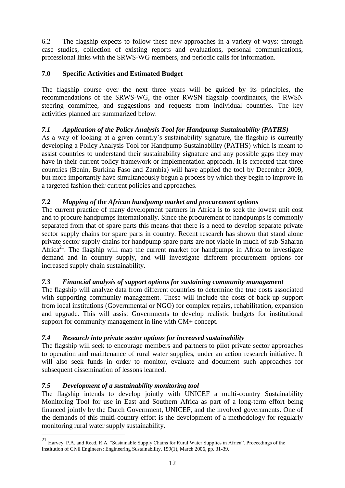6.2 The flagship expects to follow these new approaches in a variety of ways: through case studies, collection of existing reports and evaluations, personal communications, professional links with the SRWS-WG members, and periodic calls for information.

# **7.0 Specific Activities and Estimated Budget**

The flagship course over the next three years will be guided by its principles, the recommendations of the SRWS-WG, the other RWSN flagship coordinators, the RWSN steering committee, and suggestions and requests from individual countries. The key activities planned are summarized below.

# *7.1 Application of the Policy Analysis Tool for Handpump Sustainability (PATHS)*

As a way of looking at a given country's sustainability signature, the flagship is currently developing a Policy Analysis Tool for Handpump Sustainability (PATHS) which is meant to assist countries to understand their sustainability signature and any possible gaps they may have in their current policy framework or implementation approach. It is expected that three countries (Benin, Burkina Faso and Zambia) will have applied the tool by December 2009, but more importantly have simultaneously begun a process by which they begin to improve in a targeted fashion their current policies and approaches.

# *7.2 Mapping of the African handpump market and procurement options*

The current practice of many development partners in Africa is to seek the lowest unit cost and to procure handpumps internationally. Since the procurement of handpumps is commonly separated from that of spare parts this means that there is a need to develop separate private sector supply chains for spare parts in country. Recent research has shown that stand alone private sector supply chains for handpump spare parts are not viable in much of sub-Saharan Africa<sup>21</sup>. The flagship will map the current market for handpumps in Africa to investigate demand and in country supply, and will investigate different procurement options for increased supply chain sustainability.

# *7.3 Financial analysis of support options for sustaining community management*

The flagship will analyze data from different countries to determine the true costs associated with supporting community management. These will include the costs of back-up support from local institutions (Governmental or NGO) for complex repairs, rehabilitation, expansion and upgrade. This will assist Governments to develop realistic budgets for institutional support for community management in line with CM+ concept.

# *7.4 Research into private sector options for increased sustainability*

The flagship will seek to encourage members and partners to pilot private sector approaches to operation and maintenance of rural water supplies, under an action research initiative. It will also seek funds in order to monitor, evaluate and document such approaches for subsequent dissemination of lessons learned.

# *7.5 Development of a sustainability monitoring tool*

<u>.</u>

The flagship intends to develop jointly with UNICEF a multi-country Sustainability Monitoring Tool for use in East and Southern Africa as part of a long-term effort being financed jointly by the Dutch Government, UNICEF, and the involved governments. One of the demands of this multi-country effort is the development of a methodology for regularly monitoring rural water supply sustainability.

<sup>21</sup> Harvey, P.A. and Reed, R.A. "Sustainable Supply Chains for Rural Water Supplies in Africa". Proceedings of the Institution of Civil Engineers: Engineering Sustainability, 159(1), March 2006, pp. 31-39.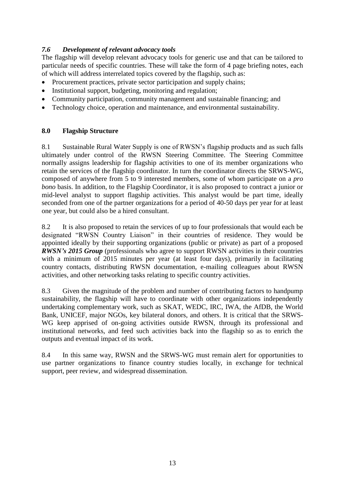## *7.6 Development of relevant advocacy tools*

The flagship will develop relevant advocacy tools for generic use and that can be tailored to particular needs of specific countries. These will take the form of 4 page briefing notes, each of which will address interrelated topics covered by the flagship, such as:

- Procurement practices, private sector participation and supply chains;
- Institutional support, budgeting, monitoring and regulation;
- Community participation, community management and sustainable financing; and
- Technology choice, operation and maintenance, and environmental sustainability.

## **8.0 Flagship Structure**

8.1 Sustainable Rural Water Supply is one of RWSN's flagship products and as such falls ultimately under control of the RWSN Steering Committee. The Steering Committee normally assigns leadership for flagship activities to one of its member organizations who retain the services of the flagship coordinator. In turn the coordinator directs the SRWS-WG, composed of anywhere from 5 to 9 interested members, some of whom participate on a *pro bono* basis. In addition, to the Flagship Coordinator, it is also proposed to contract a junior or mid-level analyst to support flagship activities. This analyst would be part time, ideally seconded from one of the partner organizations for a period of 40-50 days per year for at least one year, but could also be a hired consultant.

8.2 It is also proposed to retain the services of up to four professionals that would each be designated "RWSN Country Liaison" in their countries of residence. They would be appointed ideally by their supporting organizations (public or private) as part of a proposed *RWSN's 2015 Group* (professionals who agree to support RWSN activities in their countries with a minimum of 2015 minutes per year (at least four days), primarily in facilitating country contacts, distributing RWSN documentation, e-mailing colleagues about RWSN activities, and other networking tasks relating to specific country activities.

8.3 Given the magnitude of the problem and number of contributing factors to handpump sustainability, the flagship will have to coordinate with other organizations independently undertaking complementary work, such as SKAT, WEDC, IRC, IWA, the AfDB, the World Bank, UNICEF, major NGOs, key bilateral donors, and others. It is critical that the SRWS-WG keep apprised of on-going activities outside RWSN, through its professional and institutional networks, and feed such activities back into the flagship so as to enrich the outputs and eventual impact of its work.

8.4 In this same way, RWSN and the SRWS-WG must remain alert for opportunities to use partner organizations to finance country studies locally, in exchange for technical support, peer review, and widespread dissemination.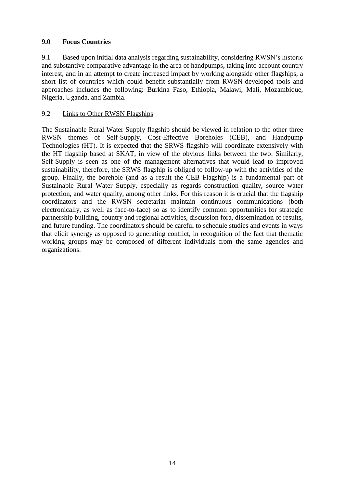#### **9.0 Focus Countries**

9.1 Based upon initial data analysis regarding sustainability, considering RWSN's historic and substantive comparative advantage in the area of handpumps, taking into account country interest, and in an attempt to create increased impact by working alongside other flagships, a short list of countries which could benefit substantially from RWSN-developed tools and approaches includes the following: Burkina Faso, Ethiopia, Malawi, Mali, Mozambique, Nigeria, Uganda, and Zambia.

#### 9.2 Links to Other RWSN Flagships

The Sustainable Rural Water Supply flagship should be viewed in relation to the other three RWSN themes of Self-Supply, Cost-Effective Boreholes (CEB), and Handpump Technologies (HT). It is expected that the SRWS flagship will coordinate extensively with the HT flagship based at SKAT, in view of the obvious links between the two. Similarly, Self-Supply is seen as one of the management alternatives that would lead to improved sustainability, therefore, the SRWS flagship is obliged to follow-up with the activities of the group. Finally, the borehole (and as a result the CEB Flagship) is a fundamental part of Sustainable Rural Water Supply, especially as regards construction quality, source water protection, and water quality, among other links. For this reason it is crucial that the flagship coordinators and the RWSN secretariat maintain continuous communications (both electronically, as well as face-to-face) so as to identify common opportunities for strategic partnership building, country and regional activities, discussion fora, dissemination of results, and future funding. The coordinators should be careful to schedule studies and events in ways that elicit synergy as opposed to generating conflict, in recognition of the fact that thematic working groups may be composed of different individuals from the same agencies and organizations.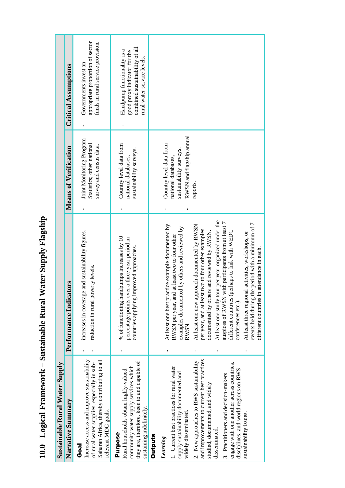10.0 Logical Framework - Sustainable Rural Water Supply Flagship **10.0 Logical Framework – Sustainable Rural Water Supply Flagship**

| <b>Sustainable Rural Water Supply</b>                                                                                                                                                                                                                                                                                                                                                                                      |                                                                                                                                                                                                                                                                                                                                                                                                                                                                                                                                                                                                                                                                    |                                                                                                                   |                                                                                                                              |  |
|----------------------------------------------------------------------------------------------------------------------------------------------------------------------------------------------------------------------------------------------------------------------------------------------------------------------------------------------------------------------------------------------------------------------------|--------------------------------------------------------------------------------------------------------------------------------------------------------------------------------------------------------------------------------------------------------------------------------------------------------------------------------------------------------------------------------------------------------------------------------------------------------------------------------------------------------------------------------------------------------------------------------------------------------------------------------------------------------------------|-------------------------------------------------------------------------------------------------------------------|------------------------------------------------------------------------------------------------------------------------------|--|
| Narrative Summary                                                                                                                                                                                                                                                                                                                                                                                                          | <b>tors</b><br>Performance Indicat                                                                                                                                                                                                                                                                                                                                                                                                                                                                                                                                                                                                                                 | <b>Means of Verification</b>                                                                                      | <b>Critical Assumptions</b>                                                                                                  |  |
| Increase access and improve sustainability<br>Saharan Africa, thereby contributing to all<br>of rural water supplies, especially in sub-<br>relevant MDG goals.<br>Goal                                                                                                                                                                                                                                                    | and sustainability figures.<br>reduction in rural poverty levels.<br>increases in coverage                                                                                                                                                                                                                                                                                                                                                                                                                                                                                                                                                                         | Joint Monitoring Program<br>Statistics; other national<br>survey and census data.                                 | appropriate proportion of sector<br>funds in rural service provision.<br>Governments invest an                               |  |
| they are, therefore, keen to and capable of<br>community water supply services which<br>Rural households obtain highly-valued<br>sustaining indefinitely.<br><b>Purpose</b>                                                                                                                                                                                                                                                | % of functioning handpumps increases by 10<br>percentage points over a three year period in<br>countries applying improved approaches.                                                                                                                                                                                                                                                                                                                                                                                                                                                                                                                             | Country level data from<br>sustainability surveys.<br>national databases,                                         | combined sustainability of all<br>Handpump functionality is a<br>good proxy indicator for the<br>rural water service levels. |  |
| <b>Outputs</b>                                                                                                                                                                                                                                                                                                                                                                                                             |                                                                                                                                                                                                                                                                                                                                                                                                                                                                                                                                                                                                                                                                    |                                                                                                                   |                                                                                                                              |  |
| and improvements to current best practices<br>2. New approaches to RWS sustainability<br>engage with one another across countries,<br>1. Current best practices for rural water<br>disciplines, and world regions on RWS<br>supply sustainability documented and<br>3. Practitioners and decision-makers<br>studied, documented, and widely<br>widely disseminated.<br>sustainability issues.<br>disseminated.<br>Learning | At least one study tour per year organized under the<br>auspices of RWSN with participants from at least 7<br>events held during the period with a minimum of 7<br>At least one best practice example documented by<br>At least one new approach documented by RWSN<br>examples documented by others and reviewed by<br>per year, and at least two to four other examples<br>documented by others and reviewed by RWSN.<br>different countries (perhaps to link with WEDC<br>At least three regional activities, workshops, or<br>at least two to four other<br>attendance in each.<br>RWSN per year, and<br>different countries in<br>conferences etc.).<br>RWSN. | RWSN and flagship annual<br>Country level data from<br>sustainability surveys.<br>national databases,<br>reports. |                                                                                                                              |  |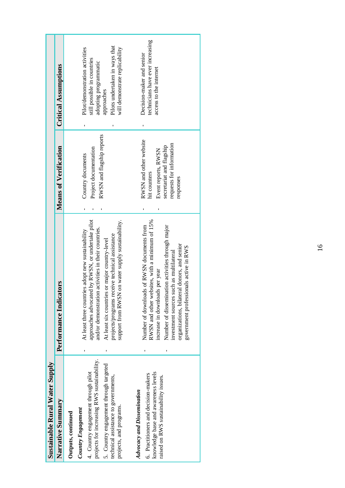| <b>Sustainable Rural Water Supply</b>                                                                                                                                                                                                       |                                                                                                                                                                                                                                                                                                                         |                                                                                                                                    |                                                                                                                                                                          |
|---------------------------------------------------------------------------------------------------------------------------------------------------------------------------------------------------------------------------------------------|-------------------------------------------------------------------------------------------------------------------------------------------------------------------------------------------------------------------------------------------------------------------------------------------------------------------------|------------------------------------------------------------------------------------------------------------------------------------|--------------------------------------------------------------------------------------------------------------------------------------------------------------------------|
| Narrative Summary                                                                                                                                                                                                                           | Performance Indicators                                                                                                                                                                                                                                                                                                  | <b>Means of Verification</b>                                                                                                       | <b>Critical Assumptions</b>                                                                                                                                              |
| projects for increasing RWS sustainability.<br>5. Country engagement through targeted<br>4. Country engagement through pilot<br>technical assistance to governments,<br>projects, and programs.<br>Country Engagement<br>Outputs, continued | on water supply sustainability.<br>approaches advocated by RWSN, or undertake pilot<br>and/or demonstration activities in their countries.<br>At least three countries adopt new sustainability<br>projects/programs receive technical assistance<br>At least six countries or major country-level<br>support from RWSN | RWSN and flagship reports<br>Project documentation<br>Country documents                                                            | Pilots undertaken in ways that<br>will demonstrate replicability<br>Pilot/demonstration activities<br>still possible in countries<br>adopting programmatic<br>approaches |
| knowledge base and awareness levels<br>6. Practitioners and decision-makers<br>raised on RWS sustainability issues.<br><b>Advocacy and Dissemination</b>                                                                                    | RWSN and other websites, with a minimum of 15%<br>Number of downloads of RWSN documents from<br>Number of dissemination activities through major<br>organizations, bilateral donors, and senior<br>government professionals active in RWS<br>investment sources such as multilateral<br>increase in downloads per year  | RWSN and other website<br>requests for information<br>secretariat and flagship<br>Event reports, RWSN<br>hit counters<br>responses | technicians have ever increasing<br>Decision-maker and senior<br>access to the internet                                                                                  |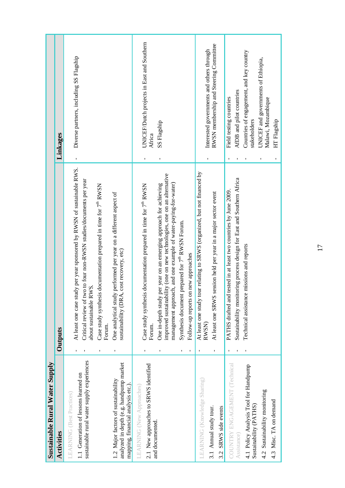| <b>Sustainable Rural Water Supply</b>                                                                                                                  |                                                                                                                                                                                                                                                                                                                                                  |                                                                                     |
|--------------------------------------------------------------------------------------------------------------------------------------------------------|--------------------------------------------------------------------------------------------------------------------------------------------------------------------------------------------------------------------------------------------------------------------------------------------------------------------------------------------------|-------------------------------------------------------------------------------------|
| <b>Activities</b>                                                                                                                                      | Outputs                                                                                                                                                                                                                                                                                                                                          | Linkages                                                                            |
| sustainable rural water supply experiences<br>1.1 Generation of lessons learned on<br>1.2 Major factors of sustainability<br>LEARNING (Best Practices) | At least one case study per year sponsored by RWSN of sustainable RWS.<br>Critical review of two to four non-RWSN studies/documents per year<br>Case study synthesis documentation prepared in time for 7 <sup>th</sup> RWSN<br>One analytical study performed per year on a different aspect of<br>about sustainable RWS.<br>Forum.<br><b>I</b> | Diverse partners, including SS Flagship<br>$\blacksquare$                           |
| analyzed in depth (e.g. handpump market<br>2.1 New approaches to SRWS identified<br>mapping, financial analysis etc.).<br>LEARNING (New Approaches)    | Case study synthesis documentation prepared in time for 7 <sup>th</sup> RWSN<br>sustainability (DRA, cost recovery, etc)<br>Forum.                                                                                                                                                                                                               | UNICEF/Dutch projects in East and Southern<br>Africa                                |
| and documented.                                                                                                                                        | improved sustainability (one on new technologies, one on an alternative<br>management approach, and one example of water-paying-for-water)<br>One in-depth study per year on an emerging approach for achieving<br>Synthesis document prepared for 7 <sup>th</sup> RWSN Forum.<br>Follow-up reports on new approaches<br>$\blacksquare$          | SS Flagship<br>I,                                                                   |
| LEARNING (Knowledge Sharing)<br>3.1 Annual study tour.<br>3.2 SRWS side events                                                                         | At least one study tour relating to SRWS (organized, but not financed by<br>session held per year in a major sector event<br>At least one SRWS<br>RWSN)<br>٠<br>$\blacksquare$                                                                                                                                                                   | RWSN membership and Steering Committee<br>Interested governments and others through |
| COUNTRY ENGAGEMENT (Technical<br>Assistance)                                                                                                           | Sustainability monitoring process design for East and Southern Africa<br>tested in at least two countries by June 2009.<br>PATHS drafted and                                                                                                                                                                                                     | AfDB and pilot countries<br>Field testing countries<br><b>I</b><br>$\blacksquare$   |
| 4.1 Policy Analysis Tool for Handpump<br>Sustainability (PATHS)                                                                                        | Technical assistance missions and reports                                                                                                                                                                                                                                                                                                        | Countries of engagement, and key country<br>stakeholders                            |
| 4.2 Sustainability monitoring<br>4.3 Misc. TA on demand                                                                                                |                                                                                                                                                                                                                                                                                                                                                  | UNICEF and governments of Ethiopia,<br>Malawi, Mozambique                           |
|                                                                                                                                                        |                                                                                                                                                                                                                                                                                                                                                  | HT Flagship<br>ı                                                                    |